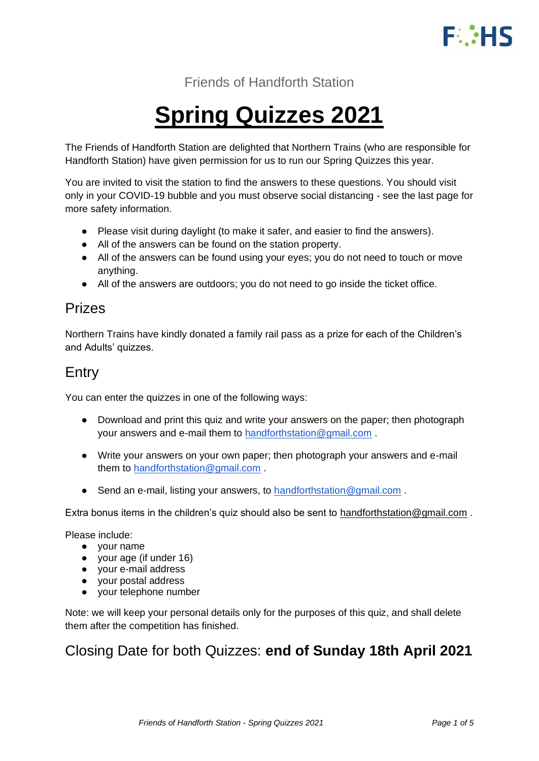

Friends of Handforth Station

# **Spring Quizzes 2021**

The Friends of Handforth Station are delighted that Northern Trains (who are responsible for Handforth Station) have given permission for us to run our Spring Quizzes this year.

You are invited to visit the station to find the answers to these questions. You should visit only in your COVID-19 bubble and you must observe social distancing - see the last page for more safety information.

- Please visit during daylight (to make it safer, and easier to find the answers).
- All of the answers can be found on the station property.
- All of the answers can be found using your eyes; you do not need to touch or move anything.
- All of the answers are outdoors; you do not need to go inside the ticket office.

### Prizes

Northern Trains have kindly donated a family rail pass as a prize for each of the Children's and Adults' quizzes.

## Entry

You can enter the quizzes in one of the following ways:

- Download and print this quiz and write your answers on the paper; then photograph your answers and e-mail them to [handforthstation@gmail.com](mailto:handforthstation@gmail.com) .
- Write your answers on your own paper; then photograph your answers and e-mail them to [handforthstation@gmail.com](mailto:handforthstation@gmail.com) .
- Send an e-mail, listing your answers, to [handforthstation@gmail.com](mailto:handforthstation@gmail.com).

Extra bonus items in the children's quiz should also be sent to [handforthstation@gmail.com](mailto:handforthstation@gmail.com) .

Please include:

- your name
- your age (if under 16)
- your e-mail address
- vour postal address
- your telephone number

Note: we will keep your personal details only for the purposes of this quiz, and shall delete them after the competition has finished.

## Closing Date for both Quizzes: **end of Sunday 18th April 2021**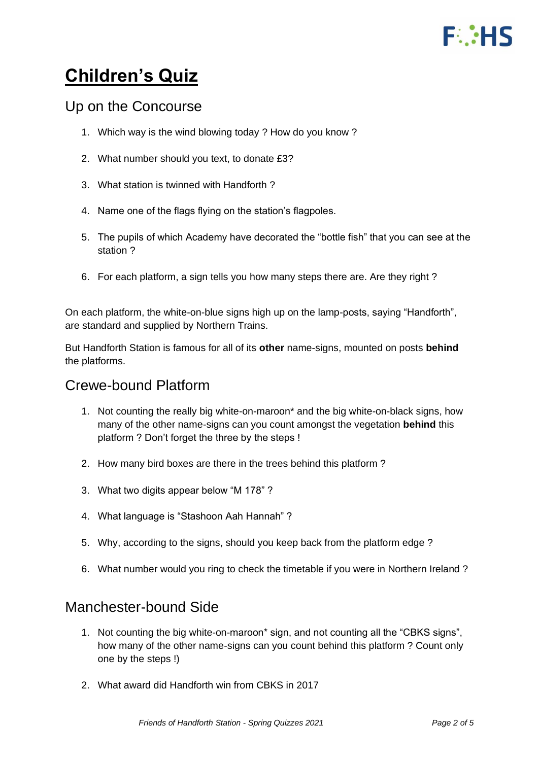# **FUILIS**

# **Children's Quiz**

#### Up on the Concourse

- 1. Which way is the wind blowing today ? How do you know ?
- 2. What number should you text, to donate £3?
- 3. What station is twinned with Handforth ?
- 4. Name one of the flags flying on the station's flagpoles.
- 5. The pupils of which Academy have decorated the "bottle fish" that you can see at the station ?
- 6. For each platform, a sign tells you how many steps there are. Are they right ?

On each platform, the white-on-blue signs high up on the lamp-posts, saying "Handforth", are standard and supplied by Northern Trains.

But Handforth Station is famous for all of its **other** name-signs, mounted on posts **behind** the platforms.

### Crewe-bound Platform

- 1. Not counting the really big white-on-maroon\* and the big white-on-black signs, how many of the other name-signs can you count amongst the vegetation **behind** this platform ? Don't forget the three by the steps !
- 2. How many bird boxes are there in the trees behind this platform ?
- 3. What two digits appear below "M 178" ?
- 4. What language is "Stashoon Aah Hannah" ?
- 5. Why, according to the signs, should you keep back from the platform edge ?
- 6. What number would you ring to check the timetable if you were in Northern Ireland ?

#### Manchester-bound Side

- 1. Not counting the big white-on-maroon\* sign, and not counting all the "CBKS signs", how many of the other name-signs can you count behind this platform ? Count only one by the steps !)
- 2. What award did Handforth win from CBKS in 2017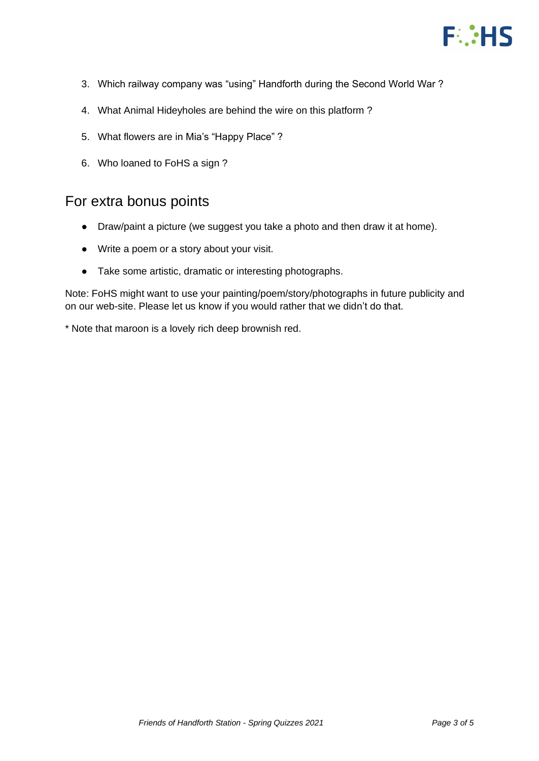

- 3. Which railway company was "using" Handforth during the Second World War ?
- 4. What Animal Hideyholes are behind the wire on this platform ?
- 5. What flowers are in Mia's "Happy Place" ?
- 6. Who loaned to FoHS a sign ?

#### For extra bonus points

- Draw/paint a picture (we suggest you take a photo and then draw it at home).
- Write a poem or a story about your visit.
- Take some artistic, dramatic or interesting photographs.

Note: FoHS might want to use your painting/poem/story/photographs in future publicity and on our web-site. Please let us know if you would rather that we didn't do that.

\* Note that maroon is a lovely rich deep brownish red.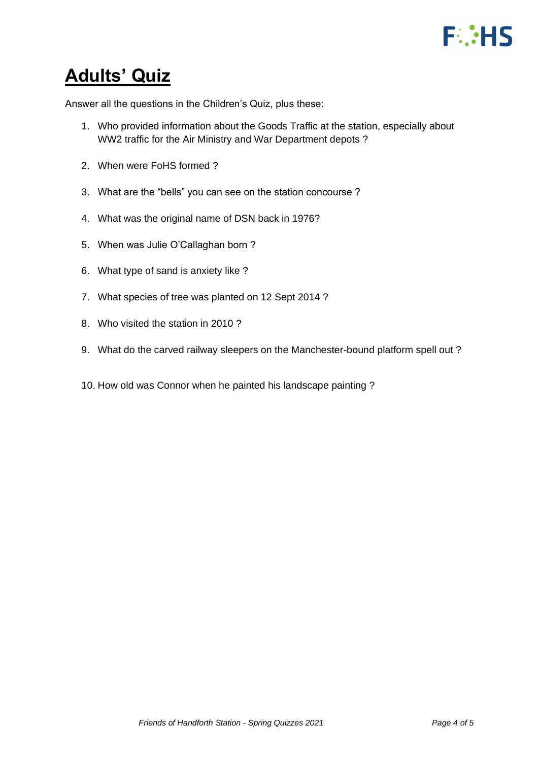

# **Adults' Quiz**

Answer all the questions in the Children's Quiz, plus these:

- 1. Who provided information about the Goods Traffic at the station, especially about WW2 traffic for the Air Ministry and War Department depots ?
- 2. When were FoHS formed ?
- 3. What are the "bells" you can see on the station concourse ?
- 4. What was the original name of DSN back in 1976?
- 5. When was Julie O'Callaghan born ?
- 6. What type of sand is anxiety like ?
- 7. What species of tree was planted on 12 Sept 2014 ?
- 8. Who visited the station in 2010 ?
- 9. What do the carved railway sleepers on the Manchester-bound platform spell out ?
- 10. How old was Connor when he painted his landscape painting ?